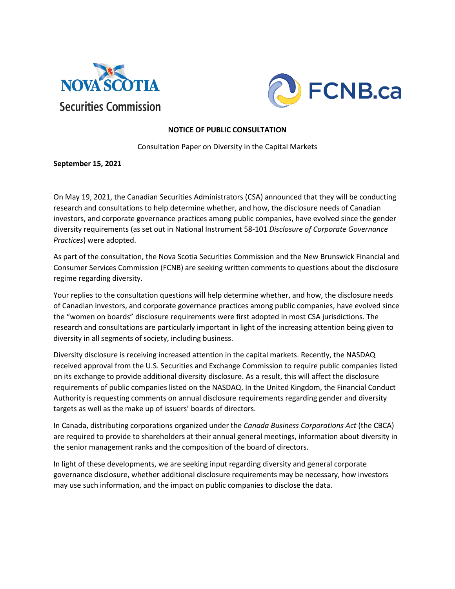



### **NOTICE OF PUBLIC CONSULTATION**

Consultation Paper on Diversity in the Capital Markets

**September 15, 2021**

On May 19, 2021, the Canadian Securities Administrators (CSA) announced that they will be conducting research and consultations to help determine whether, and how, the disclosure needs of Canadian investors, and corporate governance practices among public companies, have evolved since the gender diversity requirements (as set out in National Instrument 58-101 *Disclosure of Corporate Governance Practices*) were adopted.

As part of the consultation, the Nova Scotia Securities Commission and the New Brunswick Financial and Consumer Services Commission (FCNB) are seeking written comments to questions about the disclosure regime regarding diversity.

Your replies to the consultation questions will help determine whether, and how, the disclosure needs of Canadian investors, and corporate governance practices among public companies, have evolved since the "women on boards" disclosure requirements were first adopted in most CSA jurisdictions. The research and consultations are particularly important in light of the increasing attention being given to diversity in all segments of society, including business.

Diversity disclosure is receiving increased attention in the capital markets. Recently, the NASDAQ received approval from the U.S. Securities and Exchange Commission to require public companies listed on its exchange to provide additional diversity disclosure. As a result, this will affect the disclosure requirements of public companies listed on the NASDAQ. In the United Kingdom, the Financial Conduct Authority is requesting comments on annual disclosure requirements regarding gender and diversity targets as well as the make up of issuers' boards of directors.

In Canada, distributing corporations organized under the *Canada Business Corporations Act* (the CBCA) are required to provide to shareholders at their annual general meetings, information about diversity in the senior management ranks and the composition of the board of directors.

In light of these developments, we are seeking input regarding diversity and general corporate governance disclosure, whether additional disclosure requirements may be necessary, how investors may use such information, and the impact on public companies to disclose the data.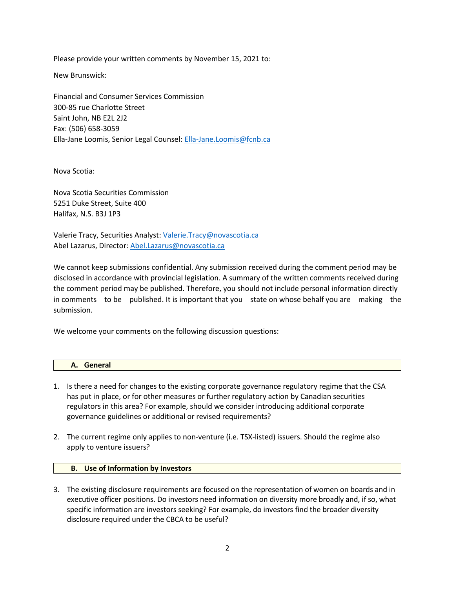Please provide your written comments by November 15, 2021 to:

New Brunswick:

Financial and Consumer Services Commission 300-85 rue Charlotte Street Saint John, NB E2L 2J2 Fax: (506) 658-3059 Ella-Jane Loomis, Senior Legal Counsel: [Ella-Jane.Loomis@fcnb.ca](mailto:Ella-Jane.Loomis@fcnb.ca)

Nova Scotia:

Nova Scotia Securities Commission 5251 Duke Street, Suite 400 Halifax, N.S. B3J 1P3

Valerie Tracy, Securities Analyst: [Valerie.Tracy@novascotia.ca](mailto:Valerie.Tracy@novascotia.ca) Abel Lazarus, Director: [Abel.Lazarus@novascotia.ca](mailto:Abel.Lazarus@novascotia.ca)

We cannot keep submissions confidential. Any submission received during the comment period may be disclosed in accordance with provincial legislation. A summary of the written comments received during the comment period may be published. Therefore, you should not include personal information directly in comments to be published. It is important that you state on whose behalf you are making the submission.

We welcome your comments on the following discussion questions:

| General<br>. .<br>∼.<br>_ _ _ |  |
|-------------------------------|--|
|                               |  |

- 1. Is there a need for changes to the existing corporate governance regulatory regime that the CSA has put in place, or for other measures or further regulatory action by Canadian securities regulators in this area? For example, should we consider introducing additional corporate governance guidelines or additional or revised requirements?
- 2. The current regime only applies to non-venture (i.e. TSX-listed) issuers. Should the regime also apply to venture issuers?

### **B. Use of Information by Investors**

3. The existing disclosure requirements are focused on the representation of women on boards and in executive officer positions. Do investors need information on diversity more broadly and, if so, what specific information are investors seeking? For example, do investors find the broader diversity disclosure required under the CBCA to be useful?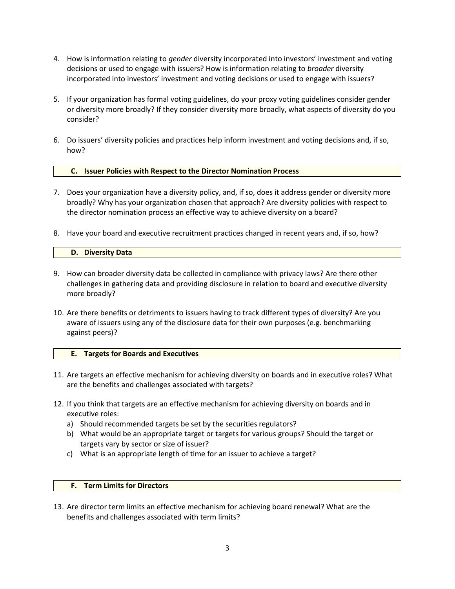- 4. How is information relating to *gender* diversity incorporated into investors' investment and voting decisions or used to engage with issuers? How is information relating to *broader* diversity incorporated into investors' investment and voting decisions or used to engage with issuers?
- 5. If your organization has formal voting guidelines, do your proxy voting guidelines consider gender or diversity more broadly? If they consider diversity more broadly, what aspects of diversity do you consider?
- 6. Do issuers' diversity policies and practices help inform investment and voting decisions and, if so, how?

# **C. Issuer Policies with Respect to the Director Nomination Process**

- 7. Does your organization have a diversity policy, and, if so, does it address gender or diversity more broadly? Why has your organization chosen that approach? Are diversity policies with respect to the director nomination process an effective way to achieve diversity on a board?
- 8. Have your board and executive recruitment practices changed in recent years and, if so, how?

## **D. Diversity Data**

- 9. How can broader diversity data be collected in compliance with privacy laws? Are there other challenges in gathering data and providing disclosure in relation to board and executive diversity more broadly?
- 10. Are there benefits or detriments to issuers having to track different types of diversity? Are you aware of issuers using any of the disclosure data for their own purposes (e.g. benchmarking against peers)?

# **E. Targets for Boards and Executives**

- 11. Are targets an effective mechanism for achieving diversity on boards and in executive roles? What are the benefits and challenges associated with targets?
- 12. If you think that targets are an effective mechanism for achieving diversity on boards and in executive roles:
	- a) Should recommended targets be set by the securities regulators?
	- b) What would be an appropriate target or targets for various groups? Should the target or targets vary by sector or size of issuer?
	- c) What is an appropriate length of time for an issuer to achieve a target?

### **F. Term Limits for Directors**

13. Are director term limits an effective mechanism for achieving board renewal? What are the benefits and challenges associated with term limits?